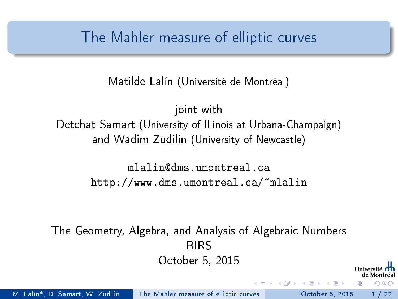#### <span id="page-0-0"></span>The Mahler measure of elliptic curves

Matilde Lalín (Université de Montréal)

joint with Detchat Samart (University of Illinois at Urbana-Champaign) and Wadim Zudilin (University of Newcastle)

> mlalin@dms.umontreal.ca http://www.dms.umontreal.ca/~mlalin

The Geometry, Algebra, and Analysis of Algebraic Numbers BIRS October 5, 2015

 $\Omega$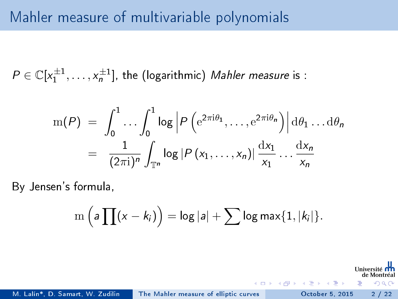$P \in \mathbb{C}[x_1^{\pm 1}, \ldots, x_n^{\pm 1}]$ , the (logarithmic) Mahler measure is :

$$
m(P) = \int_0^1 \dots \int_0^1 \log \left| P\left(e^{2\pi i\theta_1}, \dots, e^{2\pi i\theta_n}\right) \right| d\theta_1 \dots d\theta_n
$$
  
= 
$$
\frac{1}{(2\pi i)^n} \int_{\mathbb{T}^n} \log \left| P(x_1, \dots, x_n) \right| \frac{dx_1}{x_1} \dots \frac{dx_n}{x_n}
$$

By Jensen's formula,

$$
\mathrm{m}\left(\mathsf{a}\prod(x-k_i)\right)=\log|\mathsf{a}|+\sum\log\mathsf{max}\{1,|k_i|\}.
$$

 $\rightarrow$   $\equiv$   $\rightarrow$ 

 $\Omega$ 

M. Lalín\*, D. Samart, W. Zudilin [The Mahler measure of elliptic curves](#page-0-0) October 5, 2015 2/22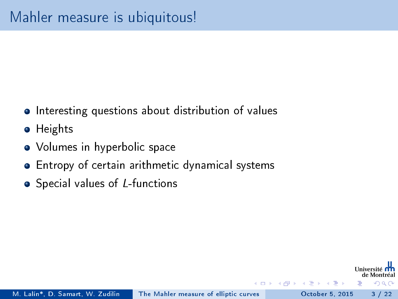- Interesting questions about distribution of values
- **•** Heights
- Volumes in hyperbolic space
- Entropy of certain arithmetic dynamical systems
- Special values of L-functions

 $\equiv$   $\rightarrow$ 

 $\Omega$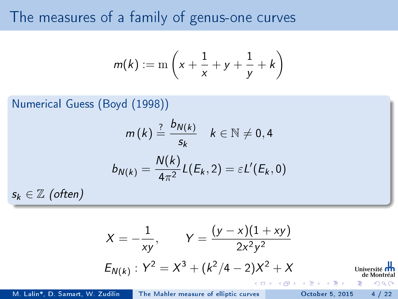#### The measures of a family of genus-one curves

$$
m(k) := \mathrm{m}\left(x + \frac{1}{x} + y + \frac{1}{y} + k\right)
$$

Numerical Guess (Boyd (1998))

$$
m(k) \stackrel{?}{=} \frac{b_{N(k)}}{s_k} \quad k \in \mathbb{N} \neq 0, 4
$$

$$
b_{N(k)} = \frac{N(k)}{4\pi^2} L(E_k, 2) = \varepsilon L'(E_k, 0)
$$

 $s_k \in \mathbb{Z}$  (often)

$$
X = -\frac{1}{xy}, \qquad Y = \frac{(y - x)(1 + xy)}{2x^2y^2}
$$
  
\n
$$
E_{N(k)}: Y^2 = X^3 + (k^2/4 - 2)X^2 + X
$$
  
\n
$$
W = \frac{1}{2} \sum_{\substack{d \text{ in } k \text{ is odd}} \text{ (a) } k \text{ (b) } k \text{ (c) } k \text{ (d) } k \text{ (e) } k \text{ (f) } k \text{ (g) } k \text{ (h) } k \text{ (i.e., } k \text{ (j) } k \text{)}
$$
  
\n
$$
W = \frac{1}{2} \sum_{\substack{d \text{ in } k \text{ is odd}} \text{ (e) } k \text{ (f) } k \text{ (g) } k \text{ (h) } k \text{ (i.e., } k \text{ (i) } k \text{)}
$$

M. Lalín\*, D. Samart, W.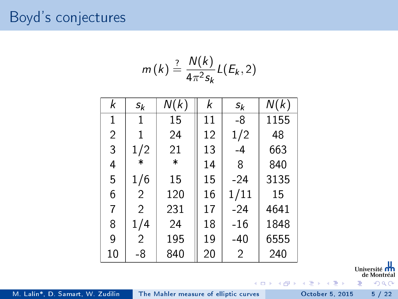#### Boyd's conjectures

$$
m(k) \stackrel{?}{=} \frac{N(k)}{4\pi^2 s_k} L(E_k, 2)
$$

| k              | $\mathfrak{s}_k$ | N(k)    | k  | $s_k$          | N(k) |
|----------------|------------------|---------|----|----------------|------|
| 1              | 1                | 15      | 11 | -8             | 1155 |
| $\overline{2}$ | 1                | 24      | 12 | 1/2            | 48   |
| 3              | 1/2              | 21      | 13 | -4             | 663  |
| 4              | $\ast$           | $\star$ | 14 | 8              | 840  |
| 5              | 1/6              | 15      | 15 | $-24$          | 3135 |
| 6              | 2                | 120     | 16 | 1/11           | 15   |
| 7              | $\mathfrak{D}$   | 231     | 17 | $-24$          | 4641 |
| 8              | 1/4              | 24      | 18 | -16            | 1848 |
| 9              | 2                | 195     | 19 | -40            | 6555 |
| 10             | -8               | 840     | 20 | $\overline{2}$ | 240  |

Université nn de Montréal

 $299$ 

M. Lalín\*, D. Samart, W. Zudilin [The Mahler measure of elliptic curves](#page-0-0) October 5, 2015 5 / 22

 $\rightarrow$ ×.

4 0 8

É

 $\rightarrow$   $\rightarrow$   $\equiv$   $\rightarrow$ 

Þ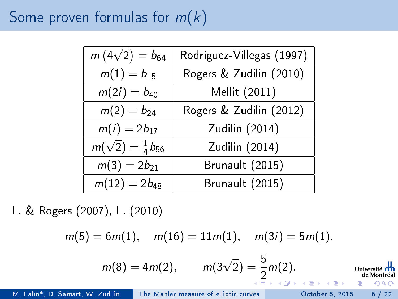## Some proven formulas for  $m(k)$

| $m(4\sqrt{2}) = b_{64}$           | Rodriguez-Villegas (1997) |
|-----------------------------------|---------------------------|
| $m(1) = b_{15}$                   | Rogers & Zudilin (2010)   |
| $m(2i) = b_{40}$                  | Mellit (2011)             |
| $m(2) = b_{24}$                   | Rogers & Zudilin (2012)   |
| $m(i) = 2b_{17}$                  | Zudilin (2014)            |
| $m(\sqrt{2}) = \frac{1}{4}b_{56}$ | Zudilin (2014)            |
| $m(3) = 2b_{21}$                  | Brunault (2015)           |
| $m(12) = 2b_{48}$                 | Brunault (2015)           |

L. & Rogers (2007), L. (2010)

$$
m(5) = 6m(1), \quad m(16) = 11m(1), \quad m(3i) = 5m(1),
$$

$$
m(8) = 4m(2), \qquad m(3\sqrt{2}) = \frac{5}{2}m(2). \qquad \text{Université than 1.5 } \frac{1}{2} \text{ in terms of 1.5 } \frac{1}{2} \text{ and } \frac{1}{2} \text{ in terms of 2.5 } \frac{1}{2} \text{ and } \frac{1}{2} \text{ in terms of 2.5 } \frac{1}{2} \text{ and } \frac{1}{2} \text{ in terms of 2.5 } \frac{1}{2} \text{ and } \frac{1}{2} \text{ in terms of 2.5 } \frac{1}{2} \text{ and } \frac{1}{2} \text{ in terms of 2.5 } \frac{1}{2} \text{ and } \frac{1}{2} \text{ in terms of 2.5 } \frac{1}{2} \text{ and } \frac{1}{2} \text{ in terms of 2.5 } \frac{1}{2} \text{ and } \frac{1}{2} \text{ in terms of 2.5 } \frac{1}{2} \text{ and } \frac{1}{2} \text{ in terms of 2.5 } \frac{1}{2} \text{ and } \frac{1}{2} \text{ in terms of 2.5 } \frac{1}{2} \text{ and } \frac{1}{2} \text{ in terms of 2.5 } \frac{1}{2} \text{ and } \frac{1}{2} \text{ in terms of 2.5 } \frac{1}{2} \text{ and } \frac{1}{2} \text{ in terms of 2.5 } \frac{1}{2} \text{ and } \frac{1}{2} \text{ in terms of 2.5 } \frac{1}{2} \text{ and } \frac{1}{2} \text{ in terms of 2.5 } \frac{1}{2} \text{ in terms of 2.5 } \frac{1}{2} \text{ in terms of 2.5 } \frac{1}{2} \text{ in terms of 2.5 } \frac{1}{2} \text{ in terms of 2.5 } \frac{1}{2} \text{ in terms of 2.5 } \frac{1}{2} \text{ in terms of 2.5 } \frac{1}{2} \text{ in terms of 2.5 } \frac{1}{2} \text{ in terms of 2.5 } \frac{1}{2} \text{ in terms of 2.5 } \frac{1}{2} \text{ in terms of 2.5 } \frac{1}{2} \text{ in terms of 2.5 } \frac{1}{2} \text{ in terms of 2.5 } \frac{1}{2} \text{ in terms of 2.5 } \frac{1}{2} \
$$

M. Lalín\*, D. Samart, W. Zudilin [The Mahler measure of elliptic curves](#page-0-0) Cotober 5, 2015 6 / 22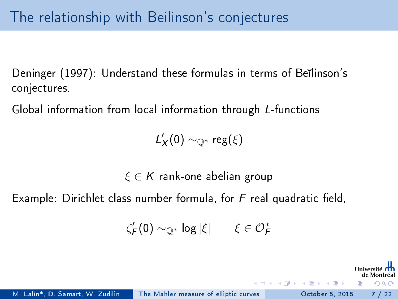<span id="page-6-0"></span>Deninger (1997): Understand these formulas in terms of Bellinson's conjectures.

Global information from local information through L-functions

 $L_X'(0) \sim_{\mathbb{Q}^*} \text{reg}(\xi)$ 

 $\xi \in K$  rank-one abelian group

Example: Dirichlet class number formula, for  $F$  real quadratic field,

$$
\zeta_{\mathsf{F}}'(0) \sim_{\mathbb{Q}^*} \log |\xi| \qquad \xi \in \mathcal{O}_{\mathsf{F}}^*
$$

 $\Omega$ 

 $\rightarrow$   $\equiv$   $\rightarrow$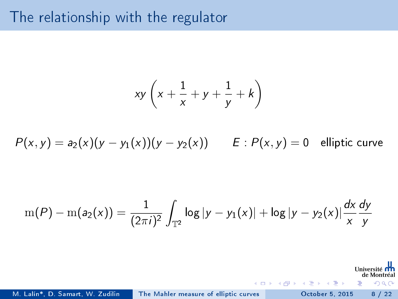#### The relationship with the regulator

$$
xy\left(x+\frac{1}{x}+y+\frac{1}{y}+k\right)
$$

 $P(x, y) = a_2(x)(y - y_1(x))(y - y_2(x))$   $E: P(x, y) = 0$  elliptic curve

$$
m(P) - m(a_2(x)) = \frac{1}{(2\pi i)^2} \int_{\mathbb{T}^2} \log |y - y_1(x)| + \log |y - y_2(x)| \frac{dx}{x} \frac{dy}{y}
$$

Universi de Montréa

 $\Omega$ 

э

 $\mathbb{B}$  is a  $\mathbb{B}$  is

**K ロ ト K 何 ト K** 

M. Lalín\*, D. Samart, W. Zudilin [The Mahler measure of elliptic curves](#page-0-0) October 5, 2015 8 / 22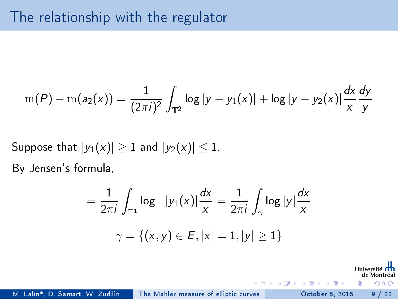#### The relationship with the regulator

$$
m(P) - m(a_2(x)) = \frac{1}{(2\pi i)^2} \int_{\mathbb{T}^2} \log |y - y_1(x)| + \log |y - y_2(x)| \frac{dx}{x} \frac{dy}{y}
$$

Suppose that  $|y_1(x)| \geq 1$  and  $|y_2(x)| \leq 1$ .

By Jensen's formula,

$$
= \frac{1}{2\pi i} \int_{\mathbb{T}^1} \log^+ |y_1(x)| \frac{dx}{x} = \frac{1}{2\pi i} \int_{\gamma} \log |y| \frac{dx}{x}
$$

$$
\gamma = \{(x, y) \in E, |x| = 1, |y| \ge 1\}
$$

Univer de Montréa

 $200$ 

 $\mathbf{h}$  $\rightarrow$   $\equiv$   $\rightarrow$ 

 $-10.5$ 

M. Lalín\*, D. Samart, W. Zudilin [The Mahler measure of elliptic curves](#page-0-0) October 5, 2015 9 / 22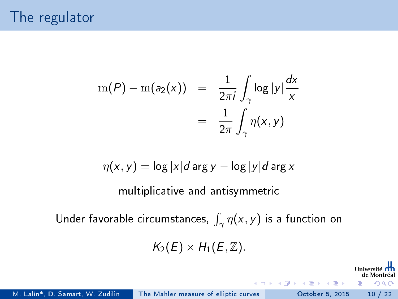$$
m(P) - m(a_2(x)) = \frac{1}{2\pi i} \int_{\gamma} \log |y| \frac{dx}{x}
$$

$$
= \frac{1}{2\pi} \int_{\gamma} \eta(x, y)
$$

$$
\eta(x,y) = \log |x|d \arg y - \log |y|d \arg x
$$

multiplicative and antisymmetric

Under favorable circumstances,  $\int_{\gamma} \eta(x, y)$  is a function on

 $K_2(E) \times H_1(E, \mathbb{Z}).$ 

Univer

 $200$ 

 $\rightarrow$   $\rightarrow$   $\equiv$   $\rightarrow$ 

4 D.K.

M. Lalín\*, D. Samart, W. Zudilin [The Mahler measure of elliptic curves](#page-0-0) October 5, 2015 10 / 22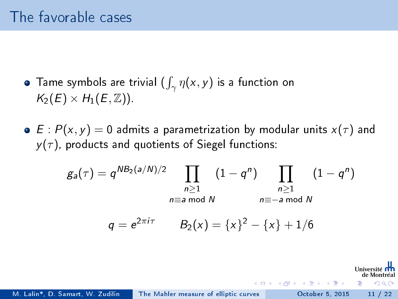- Tame symbols are trivial  $(\int_\gamma \eta(x,y)$  is a function on  $K_2(E) \times H_1(E, \mathbb{Z})$ .
- $\bullet$  E :  $P(x, y) = 0$  admits a parametrization by modular units  $x(\tau)$  and  $y(\tau)$ , products and quotients of Siegel functions:

$$
g_a(\tau) = q^{NB_2(a/N)/2} \prod_{\substack{n \geq 1 \\ n \equiv a \bmod N}} (1 - q^n) \prod_{\substack{n \geq 1 \\ n \equiv -a \bmod N}} (1 - q^n)
$$
  

$$
q = e^{2\pi i \tau} \qquad B_2(x) = \{x\}^2 - \{x\} + 1/6
$$

 $\triangleright$   $\rightarrow$   $\exists$   $\rightarrow$ 

 $\Omega$ 

M. Lalín\*, D. Samart, W. Zudilin [The Mahler measure of elliptic curves](#page-0-0) October 5, 2015 11 / 22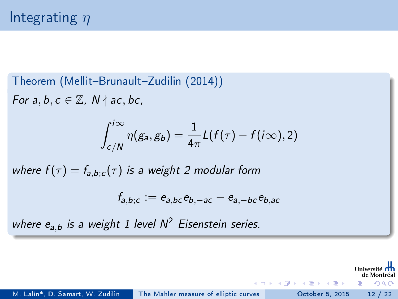Theorem (Mellit-Brunault-Zudilin (2014)) For  $a, b, c \in \mathbb{Z}$ ,  $N \nmid ac, bc$ ,  $\int^{i\infty}$ c/N  $\eta(g_{\mathsf{a}}, g_{\mathsf{b}}) = \frac{1}{4\pi} \mathcal{L}(f(\tau) - f(i\infty), 2)$ where  $f(\tau) = f_{a,b;c}(\tau)$  is a weight 2 modular form  $f_{a,b;c}:=e_{a,bc}e_{b,-ac}-e_{a,-bc}e_{b,ac}$ 

where  $e_{a,b}$  is a weight 1 level  $N^2$  Eisenstein series.

M. Lalín\*, D. Samart, W. Zudilin [The Mahler measure of elliptic curves](#page-0-0) October 5, 2015 12 / 22

 $\rightarrow$   $\rightarrow$   $\equiv$   $\rightarrow$ 

 $\Omega$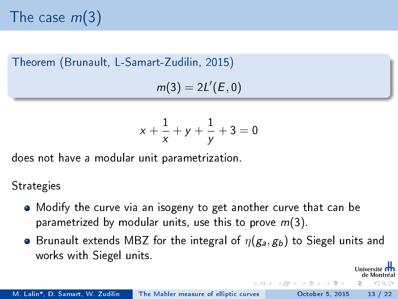The case  $m(3)$ 

Theorem (Brunault, L-Samart-Zudilin, 2015)  $m(3) = 2L'(E, 0)$ 

$$
x + \frac{1}{x} + y + \frac{1}{y} + 3 = 0
$$

does not have a modular unit parametrization.

#### **Strategies**

- Modify the curve via an isogeny to get another curve that can be parametrized by modular units, use this to prove  $m(3)$ .
- Brunault extends MBZ for the integral of  $\eta(g_a, g_b)$  to Siegel units and works with Siegel units.

 $\Omega$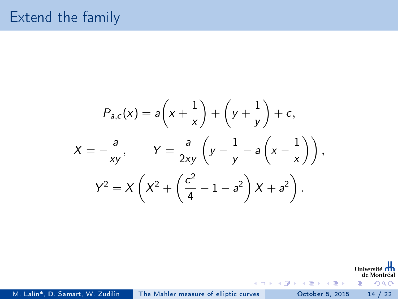#### Extend the family

$$
P_{a,c}(x) = a\left(x + \frac{1}{x}\right) + \left(y + \frac{1}{y}\right) + c,
$$
  

$$
X = -\frac{a}{xy}, \qquad Y = \frac{a}{2xy}\left(y - \frac{1}{y} - a\left(x - \frac{1}{x}\right)\right),
$$
  

$$
Y^2 = X\left(X^2 + \left(\frac{c^2}{4} - 1 - a^2\right)X + a^2\right).
$$

Université nn de Montréal  $299$ 

э

イロト イ部 トイモト イモト

M. Lalín\*, D. Samart, W. Zudilin [The Mahler measure of elliptic curves](#page-0-0) October 5, 2015 14 / 22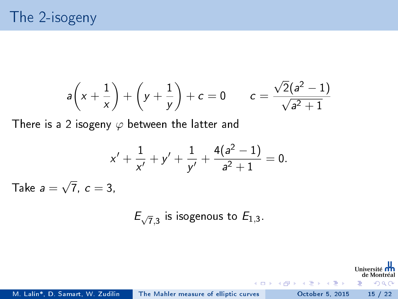## The 2-isogeny

$$
a\left(x + \frac{1}{x}\right) + \left(y + \frac{1}{y}\right) + c = 0
$$
  $c = \frac{\sqrt{2}(a^2 - 1)}{\sqrt{a^2 + 1}}$ 

There is a 2 isogeny  $\varphi$  between the latter and

$$
x' + \frac{1}{x'} + y' + \frac{1}{y'} + \frac{4(a^2 - 1)}{a^2 + 1} = 0.
$$
 Take  $a = \sqrt{7}$ ,  $c = 3$ ,

 $E_{\sqrt{7},3}$  is isogenous to  $E_{1,3}$ .

Universi de Montréa

э

 $QQ$ 

 $\rightarrow$   $\rightarrow$   $\equiv$   $\rightarrow$ 

4 D F

∢ 母

M. Lalín\*, D. Samart, W. Zudilin [The Mahler measure of elliptic curves](#page-0-0) October 5, 2015 15 / 22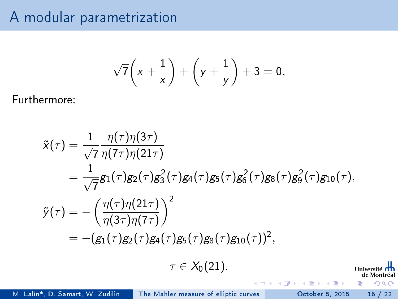#### A modular parametrization

$$
\sqrt{7}\left(x+\frac{1}{x}\right)+\left(y+\frac{1}{y}\right)+3=0,
$$

Furthermore:

$$
\tilde{x}(\tau) = \frac{1}{\sqrt{7}} \frac{\eta(\tau)\eta(3\tau)}{\eta(7\tau)\eta(21\tau)} \n= \frac{1}{\sqrt{7}} g_1(\tau) g_2(\tau) g_3^2(\tau) g_4(\tau) g_5(\tau) g_6^2(\tau) g_8(\tau) g_9^2(\tau) g_{10}(\tau), \n\tilde{y}(\tau) = -\left(\frac{\eta(\tau)\eta(21\tau)}{\eta(3\tau)\eta(7\tau)}\right)^2 \n= -(g_1(\tau) g_2(\tau) g_4(\tau) g_5(\tau) g_8(\tau) g_{10}(\tau))^2, \n\tau \in X_0(21).
$$
\nUniversity of the Mott's set of a specific equation of the system of the system of the system of the system of the system of the system of the system.

M. Lalín\*, D. Samart, W. Zudilin [The Mahler measure of elliptic curves](#page-0-0) October 5, 2015 16 / 22

 $299$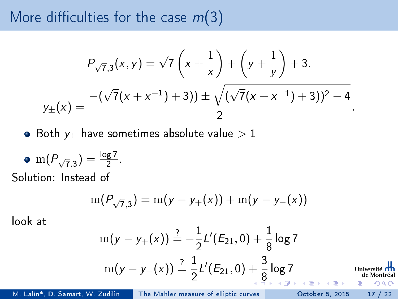#### More difficulties for the case  $m(3)$

$$
P_{\sqrt{7},3}(x,y) = \sqrt{7}\left(x + \frac{1}{x}\right) + \left(y + \frac{1}{y}\right) + 3.
$$
  

$$
y_{\pm}(x) = \frac{-\left(\sqrt{7}(x + x^{-1}) + 3\right) \pm \sqrt{\left(\sqrt{7}(x + x^{-1}) + 3\right)^2 - 4}}{2}.
$$

 $\bullet$  Both  $y_{\pm}$  have sometimes absolute value  $>1$ 

• m(
$$
P_{\sqrt{7},3}
$$
) =  $\frac{\log 7}{2}$ .  
Solution: Instead of

$$
\mathrm{m}(P_{\sqrt{7},3}) = \mathrm{m}(y-y_+(x)) + \mathrm{m}(y-y_-(x))
$$

look at

$$
m(y - y_+(x)) \stackrel{?}{=} -\frac{1}{2}L'(E_{21}, 0) + \frac{1}{8} \log 7
$$
  

$$
m(y - y_-(x)) \stackrel{?}{=} \frac{1}{2}L'(E_{21}, 0) + \frac{3}{8} \log 7
$$
  
Univertite **th**  
de Montréal  
de Montréal

M. Lalín\*, D. Samart, W. Zudilin [The Mahler measure of elliptic curves](#page-0-0) October 5, 2015 17 / 22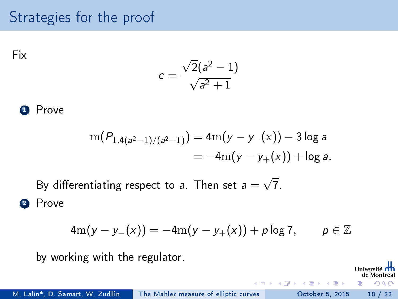#### <span id="page-17-0"></span>Strategies for the proof

Fix

$$
c=\frac{\sqrt{2}(a^2-1)}{\sqrt{a^2+1}}
$$

<sup>1</sup> Prove

$$
m(P_{1,4(a^{2}-1)/(a^{2}+1)}) = 4m(y - y_{-}(x)) - 3\log a
$$
  
= -4m(y - y\_{+}(x)) + \log a.

By differentiating respect to  $\emph{a}$  . Then set  $\emph{a} =$ √ 7. 2 Prove

$$
4m(y - y_{-}(x)) = -4m(y - y_{+}(x)) + p \log 7, \qquad p \in \mathbb{Z}
$$

 $+$ 

Univer de Montréa  $QQ$ 

 $\rightarrow$   $\equiv$   $\rightarrow$ 

by working with the regulator.

M. Lalín\*, D. Samart, W. Zudilin [The Mahler measure of elliptic curves](#page-0-0) October 5, 2015 18 / 22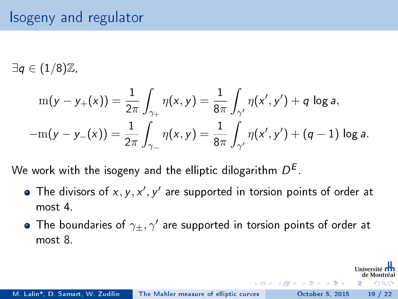#### Isogeny and regulator

 $\exists q \in (1/8)\mathbb{Z}$ ,

$$
m(y - y_{+}(x)) = \frac{1}{2\pi} \int_{\gamma_{+}} \eta(x, y) dx = \frac{1}{8\pi} \int_{\gamma'} \eta(x', y') + q \log a,
$$
  
-m(y - y\_{-}(x)) =  $\frac{1}{2\pi} \int_{\gamma_{-}} \eta(x, y) dx = \frac{1}{8\pi} \int_{\gamma'} \eta(x', y') + (q - 1) \log a.$ 

We work with the isogeny and the elliptic dilogarithm  $D^{\bar{E}}$ .

- The divisors of  $x, y, x', y'$  are supported in torsion points of order at most 4.
- The boundaries of  $\gamma_\pm, \gamma^\prime$  are supported in torsion points of order at most 8.

 $\rightarrow$   $\rightarrow$   $\rightarrow$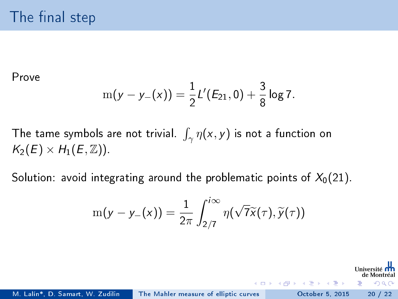Prove

$$
m(y - y_{-}(x)) = \frac{1}{2}L'(E_{21}, 0) + \frac{3}{8}\log 7.
$$

The tame symbols are not trivial.  $\int_{\gamma} \eta(x, y)$  is not a function on  $K_2(E) \times H_1(E, \mathbb{Z})$ .

Solution: avoid integrating around the problematic points of  $X_0(21)$ .

$$
\mathrm{m}(y-y_-(x))=\frac{1}{2\pi}\int_{2/7}^{i\infty}\eta(\sqrt{7}\widetilde{x}(\tau),\widetilde{y}(\tau))
$$

ミメスミメ

 $\Omega$ 

M. Lalín\*, D. Samart, W. Zudilin [The Mahler measure of elliptic curves](#page-0-0) October 5, 2015 20 / 22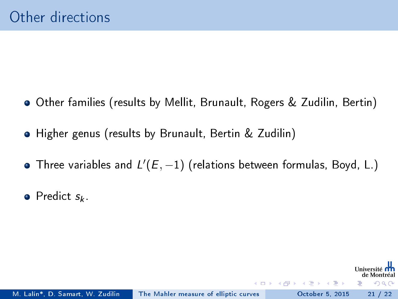- Other families (results by Mellit, Brunault, Rogers & Zudilin, Bertin)
- Higher genus (results by Brunault, Bertin & Zudilin)
- Three variables and  $L'(E,-1)$  (relations between formulas, Boyd, L.)

 $\rightarrow$   $\rightarrow$   $\rightarrow$ 

 $\Omega$ 

 $\bullet$  Predict  $s_k$ .